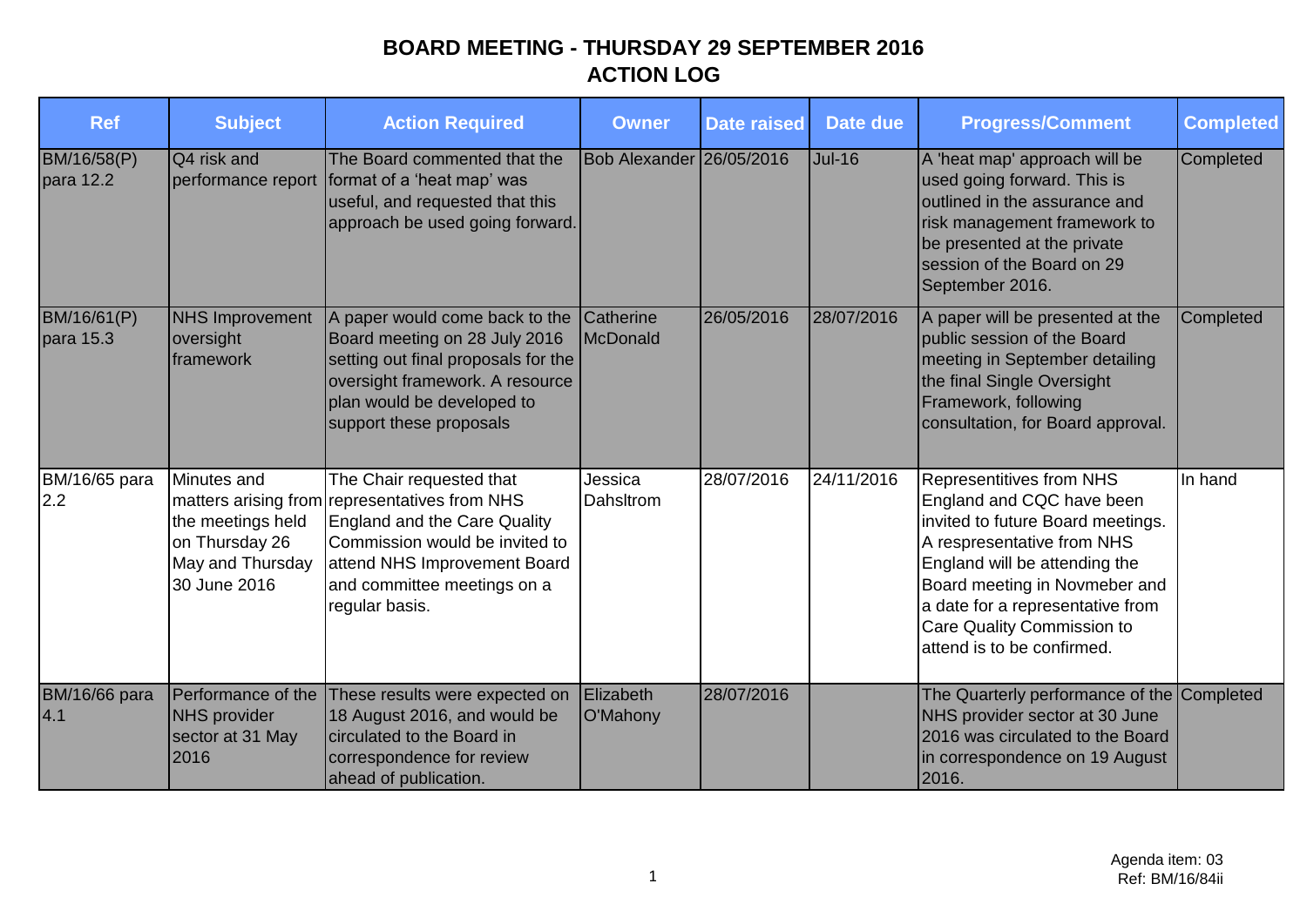| <b>Ref</b>                  | <b>Subject</b>                                                                         | <b>Action Required</b>                                                                                                                                                                                                       | Owner                    | <b>Date raised</b> | Date due      | <b>Progress/Comment</b>                                                                                                                                                                                                                                                                    | <b>Completed</b> |
|-----------------------------|----------------------------------------------------------------------------------------|------------------------------------------------------------------------------------------------------------------------------------------------------------------------------------------------------------------------------|--------------------------|--------------------|---------------|--------------------------------------------------------------------------------------------------------------------------------------------------------------------------------------------------------------------------------------------------------------------------------------------|------------------|
| BM/16/58(P)<br>para 12.2    | Q4 risk and                                                                            | The Board commented that the<br>performance report format of a 'heat map' was<br>useful, and requested that this<br>approach be used going forward.                                                                          | Bob Alexander 26/05/2016 |                    | <b>Jul-16</b> | A 'heat map' approach will be<br>used going forward. This is<br>outlined in the assurance and<br>risk management framework to<br>be presented at the private<br>session of the Board on 29<br>September 2016.                                                                              | Completed        |
| BM/16/61(P)<br>para 15.3    | <b>NHS Improvement</b><br>oversight<br>framework                                       | A paper would come back to the<br>Board meeting on 28 July 2016<br>setting out final proposals for the<br>oversight framework. A resource<br>plan would be developed to<br>support these proposals                           | Catherine<br>McDonald    | 26/05/2016         | 28/07/2016    | A paper will be presented at the<br>public session of the Board<br>meeting in September detailing<br>the final Single Oversight<br>Framework, following<br>consultation, for Board approval.                                                                                               | Completed        |
| BM/16/65 para<br>2.2        | Minutes and<br>the meetings held<br>on Thursday 26<br>May and Thursday<br>30 June 2016 | The Chair requested that<br>matters arising from representatives from NHS<br>England and the Care Quality<br>Commission would be invited to<br>attend NHS Improvement Board<br>and committee meetings on a<br>regular basis. | Jessica<br>Dahsltrom     | 28/07/2016         | 24/11/2016    | Representitives from NHS<br>England and CQC have been<br>invited to future Board meetings.<br>A respresentative from NHS<br>England will be attending the<br>Board meeting in Novmeber and<br>a date for a representative from<br>Care Quality Commission to<br>attend is to be confirmed. | In hand          |
| <b>BM/16/66 para</b><br>4.1 | Performance of the<br><b>NHS</b> provider<br>sector at 31 May<br>2016                  | These results were expected on<br>18 August 2016, and would be<br>circulated to the Board in<br>correspondence for review<br>ahead of publication.                                                                           | Elizabeth<br>O'Mahony    | 28/07/2016         |               | The Quarterly performance of the Completed<br>NHS provider sector at 30 June<br>2016 was circulated to the Board<br>in correspondence on 19 August<br>2016.                                                                                                                                |                  |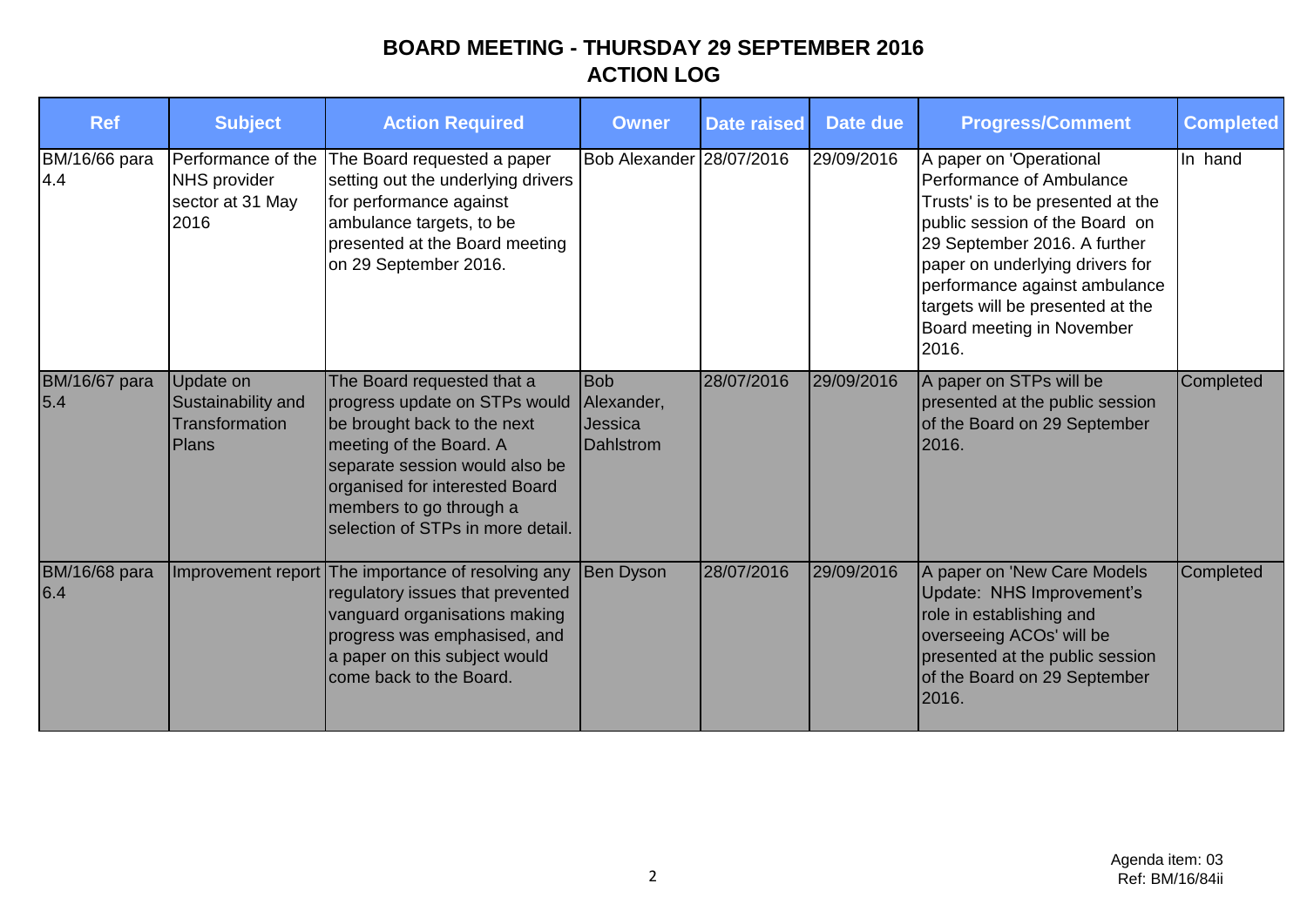| <b>Ref</b>                  | <b>Subject</b>                                                        | <b>Action Required</b>                                                                                                                                                                                                                                    | <b>Owner</b>                                     | <b>Date raised</b> | Date due   | <b>Progress/Comment</b>                                                                                                                                                                                                                                                                                  | <b>Completed</b> |
|-----------------------------|-----------------------------------------------------------------------|-----------------------------------------------------------------------------------------------------------------------------------------------------------------------------------------------------------------------------------------------------------|--------------------------------------------------|--------------------|------------|----------------------------------------------------------------------------------------------------------------------------------------------------------------------------------------------------------------------------------------------------------------------------------------------------------|------------------|
| BM/16/66 para<br>4.4        | Performance of the<br><b>NHS provider</b><br>sector at 31 May<br>2016 | The Board requested a paper<br>setting out the underlying drivers<br>for performance against<br>ambulance targets, to be<br>presented at the Board meeting<br>on 29 September 2016.                                                                       | Bob Alexander 28/07/2016                         |                    | 29/09/2016 | A paper on 'Operational<br>Performance of Ambulance<br>Trusts' is to be presented at the<br>public session of the Board on<br>29 September 2016. A further<br>paper on underlying drivers for<br>performance against ambulance<br>targets will be presented at the<br>Board meeting in November<br>2016. | In hand          |
| <b>BM/16/67 para</b><br>5.4 | Update on<br>Sustainability and<br>Transformation<br><b>Plans</b>     | The Board requested that a<br>progress update on STPs would<br>be brought back to the next<br>meeting of the Board. A<br>separate session would also be<br>organised for interested Board<br>members to go through a<br>selection of STPs in more detail. | <b>Bob</b><br>Alexander,<br>Jessica<br>Dahlstrom | 28/07/2016         | 29/09/2016 | A paper on STPs will be<br>presented at the public session<br>of the Board on 29 September<br>2016.                                                                                                                                                                                                      | Completed        |
| <b>BM/16/68 para</b><br>6.4 | Improvement report                                                    | The importance of resolving any<br>regulatory issues that prevented<br>vanguard organisations making<br>progress was emphasised, and<br>a paper on this subject would<br>come back to the Board.                                                          | Ben Dyson                                        | 28/07/2016         | 29/09/2016 | A paper on 'New Care Models<br>Update: NHS Improvement's<br>role in establishing and<br>overseeing ACOs' will be<br>presented at the public session<br>of the Board on 29 September<br>2016.                                                                                                             | Completed        |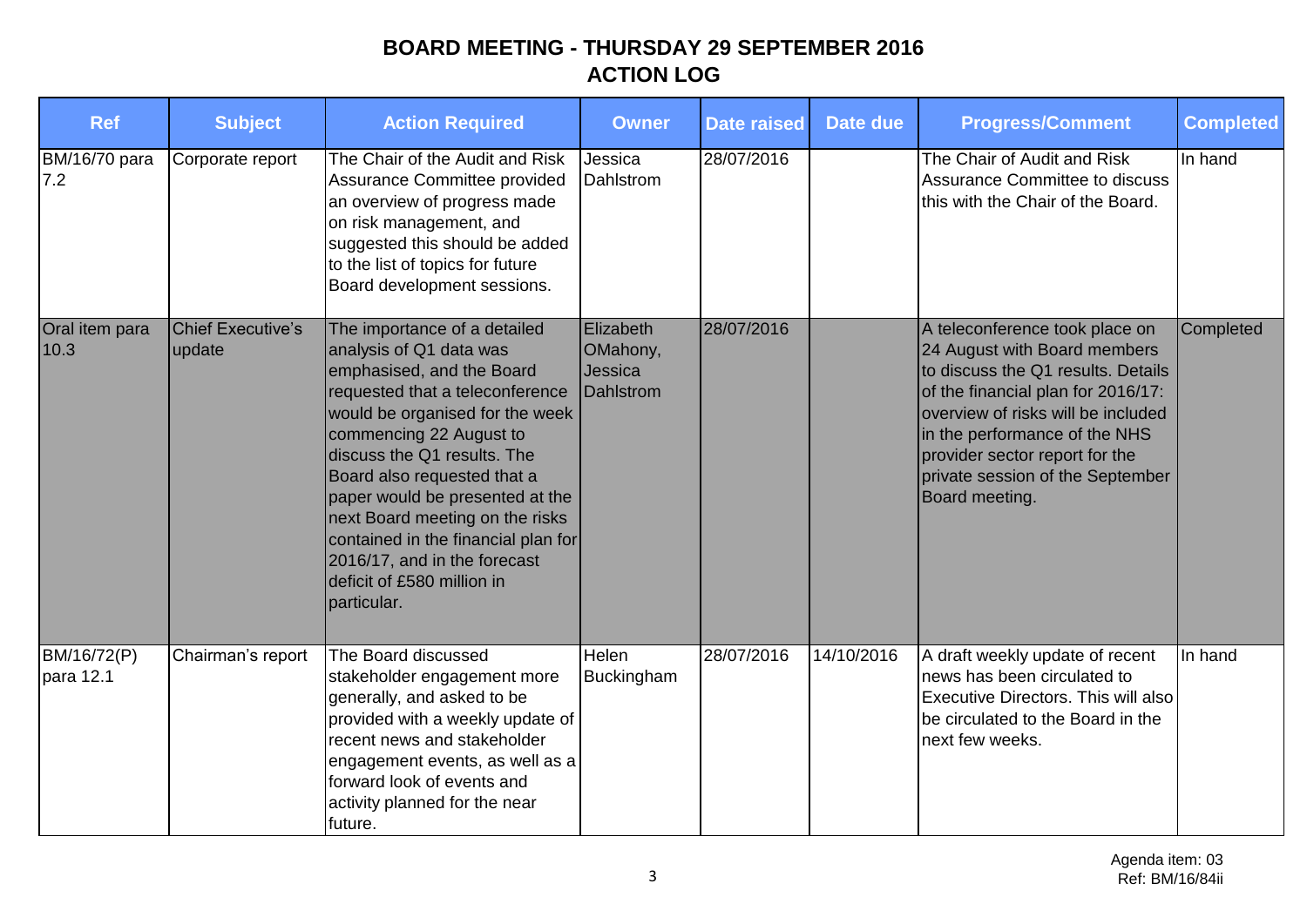| <b>Ref</b>               | <b>Subject</b>                     | <b>Action Required</b>                                                                                                                                                                                                                                                                                                                                                                                                                        | <b>Owner</b>                                  | <b>Date raised</b> | Date due   | <b>Progress/Comment</b>                                                                                                                                                                                                                                                                                   | <b>Completed</b> |
|--------------------------|------------------------------------|-----------------------------------------------------------------------------------------------------------------------------------------------------------------------------------------------------------------------------------------------------------------------------------------------------------------------------------------------------------------------------------------------------------------------------------------------|-----------------------------------------------|--------------------|------------|-----------------------------------------------------------------------------------------------------------------------------------------------------------------------------------------------------------------------------------------------------------------------------------------------------------|------------------|
| BM/16/70 para<br>7.2     | Corporate report                   | The Chair of the Audit and Risk<br>Assurance Committee provided<br>an overview of progress made<br>on risk management, and<br>suggested this should be added<br>to the list of topics for future<br>Board development sessions.                                                                                                                                                                                                               | Jessica<br>Dahlstrom                          | 28/07/2016         |            | The Chair of Audit and Risk<br>Assurance Committee to discuss<br>this with the Chair of the Board.                                                                                                                                                                                                        | In hand          |
| Oral item para<br>10.3   | <b>Chief Executive's</b><br>update | The importance of a detailed<br>analysis of Q1 data was<br>emphasised, and the Board<br>requested that a teleconference<br>would be organised for the week<br>commencing 22 August to<br>discuss the Q1 results. The<br>Board also requested that a<br>paper would be presented at the<br>next Board meeting on the risks<br>contained in the financial plan for<br>2016/17, and in the forecast<br>deficit of £580 million in<br>particular. | Elizabeth<br>OMahony,<br>Jessica<br>Dahlstrom | 28/07/2016         |            | A teleconference took place on<br>24 August with Board members<br>to discuss the Q1 results. Details<br>of the financial plan for 2016/17:<br>overview of risks will be included<br>in the performance of the NHS<br>provider sector report for the<br>private session of the September<br>Board meeting. | Completed        |
| BM/16/72(P)<br>para 12.1 | Chairman's report                  | The Board discussed<br>stakeholder engagement more<br>generally, and asked to be<br>provided with a weekly update of<br>recent news and stakeholder<br>engagement events, as well as a<br>forward look of events and<br>activity planned for the near<br>future.                                                                                                                                                                              | Helen<br>Buckingham                           | 28/07/2016         | 14/10/2016 | A draft weekly update of recent<br>news has been circulated to<br><b>Executive Directors. This will also</b><br>be circulated to the Board in the<br>next few weeks.                                                                                                                                      | In hand          |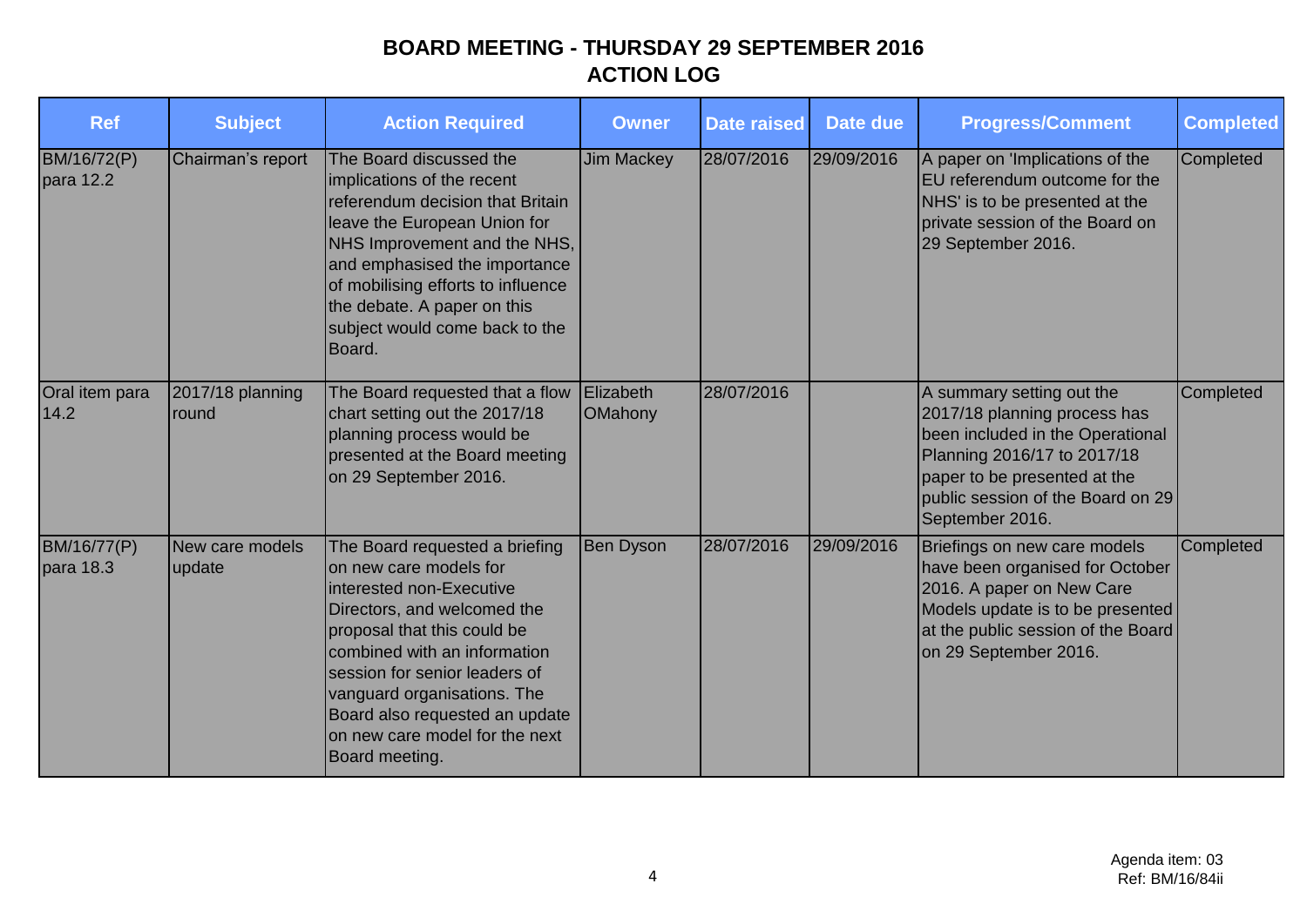| <b>Ref</b>               | <b>Subject</b>            | <b>Action Required</b>                                                                                                                                                                                                                                                                                                                   | <b>Owner</b>                | <b>Date raised</b> | Date due   | <b>Progress/Comment</b>                                                                                                                                                                                              | <b>Completed</b> |
|--------------------------|---------------------------|------------------------------------------------------------------------------------------------------------------------------------------------------------------------------------------------------------------------------------------------------------------------------------------------------------------------------------------|-----------------------------|--------------------|------------|----------------------------------------------------------------------------------------------------------------------------------------------------------------------------------------------------------------------|------------------|
| BM/16/72(P)<br>para 12.2 | Chairman's report         | The Board discussed the<br>implications of the recent<br>referendum decision that Britain<br>leave the European Union for<br>NHS Improvement and the NHS,<br>and emphasised the importance<br>of mobilising efforts to influence<br>the debate. A paper on this<br>subject would come back to the<br>Board.                              | Jim Mackey                  | 28/07/2016         | 29/09/2016 | A paper on 'Implications of the<br>EU referendum outcome for the<br>NHS' is to be presented at the<br>private session of the Board on<br>29 September 2016.                                                          | Completed        |
| Oral item para<br>14.2   | 2017/18 planning<br>round | The Board requested that a flow<br>chart setting out the 2017/18<br>planning process would be<br>presented at the Board meeting<br>on 29 September 2016.                                                                                                                                                                                 | Elizabeth<br><b>OMahony</b> | 28/07/2016         |            | A summary setting out the<br>2017/18 planning process has<br>been included in the Operational<br>Planning 2016/17 to 2017/18<br>paper to be presented at the<br>public session of the Board on 29<br>September 2016. | Completed        |
| BM/16/77(P)<br>para 18.3 | New care models<br>update | The Board requested a briefing<br>on new care models for<br>interested non-Executive<br>Directors, and welcomed the<br>proposal that this could be<br>combined with an information<br>session for senior leaders of<br>vanguard organisations. The<br>Board also requested an update<br>on new care model for the next<br>Board meeting. | <b>Ben Dyson</b>            | 28/07/2016         | 29/09/2016 | Briefings on new care models<br>have been organised for October<br>2016. A paper on New Care<br>Models update is to be presented<br>at the public session of the Board<br>on 29 September 2016.                      | Completed        |